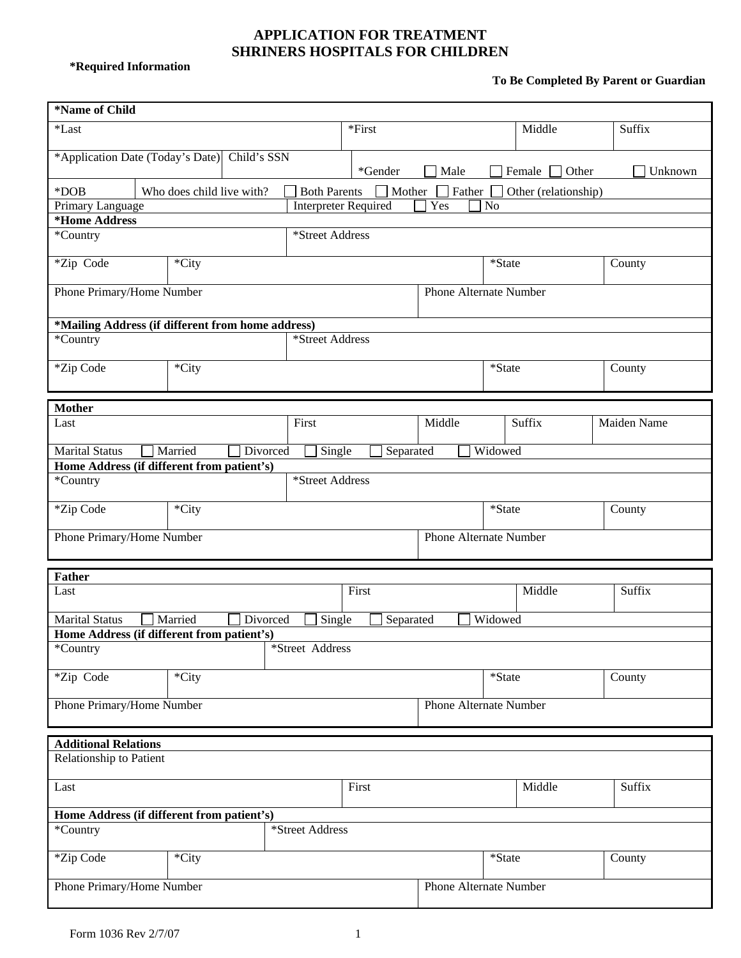## **APPLICATION FOR TREATMENT SHRINERS HOSPITALS FOR CHILDREN**

**\*Required Information** 

## **To Be Completed By Parent or Guardian**

Ĩ.

| *Name of Child                                                                 |                                            |                           |          |                             |           |                               |                        |         |                      |        |             |         |  |
|--------------------------------------------------------------------------------|--------------------------------------------|---------------------------|----------|-----------------------------|-----------|-------------------------------|------------------------|---------|----------------------|--------|-------------|---------|--|
| *Last                                                                          |                                            |                           |          | *First                      |           |                               |                        | Middle  |                      | Suffix |             |         |  |
| *Application Date (Today's Date) Child's SSN                                   |                                            |                           |          |                             | *Gender   | $\Box$ Male                   |                        |         | Female $\Box$ Other  |        |             | Unknown |  |
| *DOB                                                                           |                                            | Who does child live with? |          | <b>Both Parents</b>         | Mother    |                               | Father                 |         | Other (relationship) |        |             |         |  |
| Primary Language                                                               |                                            |                           |          | <b>Interpreter Required</b> |           |                               | Yes                    | No      |                      |        |             |         |  |
| *Home Address                                                                  |                                            |                           |          |                             |           |                               |                        |         |                      |        |             |         |  |
| *Street Address<br>*Country                                                    |                                            |                           |          |                             |           |                               |                        |         |                      |        |             |         |  |
| *Zip Code<br>*City                                                             |                                            |                           |          | *State                      |           |                               |                        |         |                      |        | County      |         |  |
| Phone Primary/Home Number                                                      |                                            |                           |          |                             |           | <b>Phone Alternate Number</b> |                        |         |                      |        |             |         |  |
| *Mailing Address (if different from home address)                              |                                            |                           |          |                             |           |                               |                        |         |                      |        |             |         |  |
| *Street Address<br>*Country                                                    |                                            |                           |          |                             |           |                               |                        |         |                      |        |             |         |  |
| *Zip Code                                                                      | *City                                      |                           |          |                             |           |                               | *State                 |         |                      | County |             |         |  |
|                                                                                |                                            |                           |          |                             |           |                               |                        |         |                      |        |             |         |  |
| <b>Mother</b>                                                                  |                                            |                           |          |                             |           |                               |                        |         |                      |        |             |         |  |
|                                                                                | Last                                       |                           |          | First                       |           |                               | Middle                 |         | Suffix               |        | Maiden Name |         |  |
| Married<br>Widowed<br><b>Marital Status</b><br>Divorced<br>Single<br>Separated |                                            |                           |          |                             |           |                               |                        |         |                      |        |             |         |  |
|                                                                                | Home Address (if different from patient's) |                           |          |                             |           |                               |                        |         |                      |        |             |         |  |
| *Country                                                                       |                                            |                           |          | *Street Address             |           |                               |                        |         |                      |        |             |         |  |
| *Zip Code                                                                      |                                            | *City                     |          |                             |           |                               |                        | *State  |                      |        | County      |         |  |
| Phone Primary/Home Number                                                      |                                            |                           |          | Phone Alternate Number      |           |                               |                        |         |                      |        |             |         |  |
|                                                                                |                                            |                           |          |                             |           |                               |                        |         |                      |        |             |         |  |
| <b>Father</b>                                                                  |                                            |                           |          |                             | First     |                               |                        |         | Middle               |        |             |         |  |
| Last                                                                           |                                            |                           |          |                             |           |                               |                        |         |                      | Suffix |             |         |  |
| <b>Marital Status</b>                                                          |                                            | Married                   | Divorced | Single                      | Separated |                               |                        | Widowed |                      |        |             |         |  |
| Home Address (if different from patient's)<br>*Country                         |                                            |                           |          | *Street Address             |           |                               |                        |         |                      |        |             |         |  |
| *Zip Code                                                                      |                                            | *City                     |          |                             |           |                               |                        | *State  |                      |        | County      |         |  |
| Phone Primary/Home Number                                                      |                                            |                           |          |                             |           |                               | Phone Alternate Number |         |                      |        |             |         |  |
|                                                                                |                                            |                           |          |                             |           |                               |                        |         |                      |        |             |         |  |
| <b>Additional Relations</b>                                                    |                                            |                           |          |                             |           |                               |                        |         |                      |        |             |         |  |
| Relationship to Patient                                                        |                                            |                           |          |                             |           |                               |                        |         |                      |        |             |         |  |
| Last                                                                           |                                            |                           |          |                             | First     |                               |                        |         | Middle               |        | Suffix      |         |  |
| Home Address (if different from patient's)                                     |                                            |                           |          |                             |           |                               |                        |         |                      |        |             |         |  |
| *Country                                                                       |                                            |                           |          | *Street Address             |           |                               |                        |         |                      |        |             |         |  |
| *Zip Code                                                                      |                                            | *City                     |          |                             |           |                               |                        | *State  |                      |        | County      |         |  |
| Phone Primary/Home Number                                                      |                                            |                           |          |                             |           | Phone Alternate Number        |                        |         |                      |        |             |         |  |